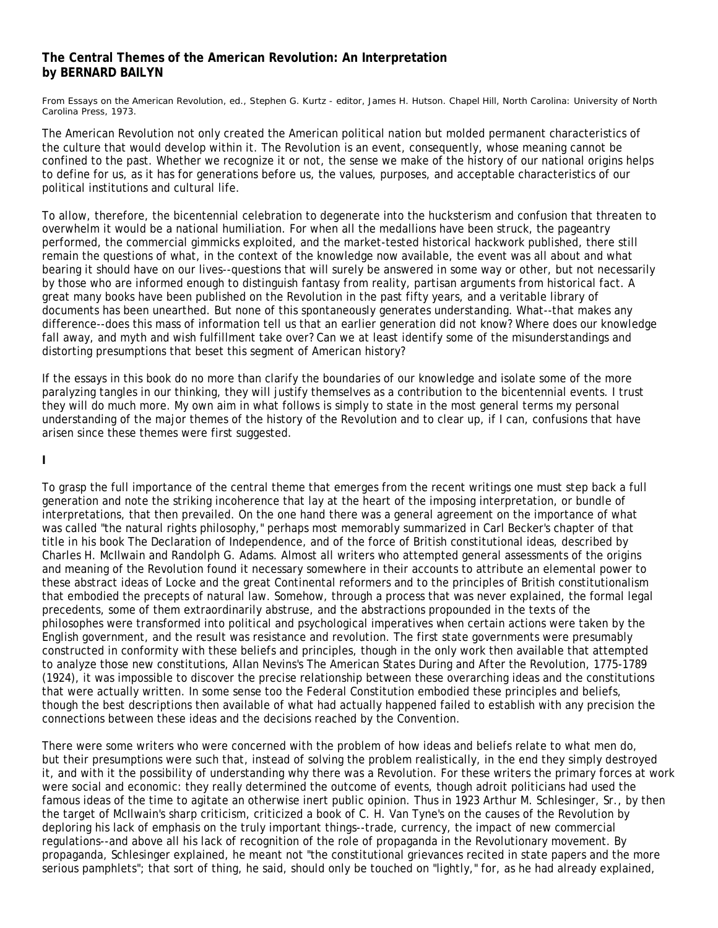# **The Central Themes of the American Revolution: An Interpretation by BERNARD BAILYN**

From Essays on the American Revolution, ed., Stephen G. Kurtz - editor, James H. Hutson. Chapel Hill, North Carolina: University of North Carolina Press, 1973.

The American Revolution not only created the American political nation but molded permanent characteristics of the culture that would develop within it. The Revolution is an event, consequently, whose meaning cannot be confined to the past. Whether we recognize it or not, the sense we make of the history of our national origins helps to define for us, as it has for generations before us, the values, purposes, and acceptable characteristics of our political institutions and cultural life.

To allow, therefore, the bicentennial celebration to degenerate into the hucksterism and confusion that threaten to overwhelm it would be a national humiliation. For when all the medallions have been struck, the pageantry performed, the commercial gimmicks exploited, and the market-tested historical hackwork published, there still remain the questions of what, in the context of the knowledge now available, the event was all about and what bearing it should have on our lives--questions that will surely be answered in some way or other, but not necessarily by those who are informed enough to distinguish fantasy from reality, partisan arguments from historical fact. A great many books have been published on the Revolution in the past fifty years, and a veritable library of documents has been unearthed. But none of this spontaneously generates understanding. What--that makes any difference--does this mass of information tell us that an earlier generation did not know? Where does our knowledge fall away, and myth and wish fulfillment take over? Can we at least identify some of the misunderstandings and distorting presumptions that beset this segment of American history?

If the essays in this book do no more than clarify the boundaries of our knowledge and isolate some of the more paralyzing tangles in our thinking, they will justify themselves as a contribution to the bicentennial events. I trust they will do much more. My own aim in what follows is simply to state in the most general terms my personal understanding of the major themes of the history of the Revolution and to clear up, if I can, confusions that have arisen since these themes were first suggested.

**I** 

To grasp the full importance of the central theme that emerges from the recent writings one must step back a full generation and note the striking incoherence that lay at the heart of the imposing interpretation, or bundle of interpretations, that then prevailed. On the one hand there was a general agreement on the importance of what was called "the natural rights philosophy," perhaps most memorably summarized in Carl Becker's chapter of that title in his book The Declaration of Independence, and of the force of British constitutional ideas, described by Charles H. McIlwain and Randolph G. Adams. Almost all writers who attempted general assessments of the origins and meaning of the Revolution found it necessary somewhere in their accounts to attribute an elemental power to these abstract ideas of Locke and the great Continental reformers and to the principles of British constitutionalism that embodied the precepts of natural law. Somehow, through a process that was never explained, the formal legal precedents, some of them extraordinarily abstruse, and the abstractions propounded in the texts of the philosophes were transformed into political and psychological imperatives when certain actions were taken by the English government, and the result was resistance and revolution. The first state governments were presumably constructed in conformity with these beliefs and principles, though in the only work then available that attempted to analyze those new constitutions, Allan Nevins's The American States During and After the Revolution, 1775-1789 (1924), it was impossible to discover the precise relationship between these overarching ideas and the constitutions that were actually written. In some sense too the Federal Constitution embodied these principles and beliefs, though the best descriptions then available of what had actually happened failed to establish with any precision the connections between these ideas and the decisions reached by the Convention.

There were some writers who were concerned with the problem of how ideas and beliefs relate to what men do, but their presumptions were such that, instead of solving the problem realistically, in the end they simply destroyed it, and with it the possibility of understanding why there was a Revolution. For these writers the primary forces at work were social and economic: they really determined the outcome of events, though adroit politicians had used the famous ideas of the time to agitate an otherwise inert public opinion. Thus in 1923 Arthur M. Schlesinger, Sr., by then the target of McIlwain's sharp criticism, criticized a book of C. H. Van Tyne's on the causes of the Revolution by deploring his lack of emphasis on the truly important things--trade, currency, the impact of new commercial regulations--and above all his lack of recognition of the role of propaganda in the Revolutionary movement. By propaganda, Schlesinger explained, he meant not "the constitutional grievances recited in state papers and the more serious pamphlets"; that sort of thing, he said, should only be touched on "lightly," for, as he had already explained,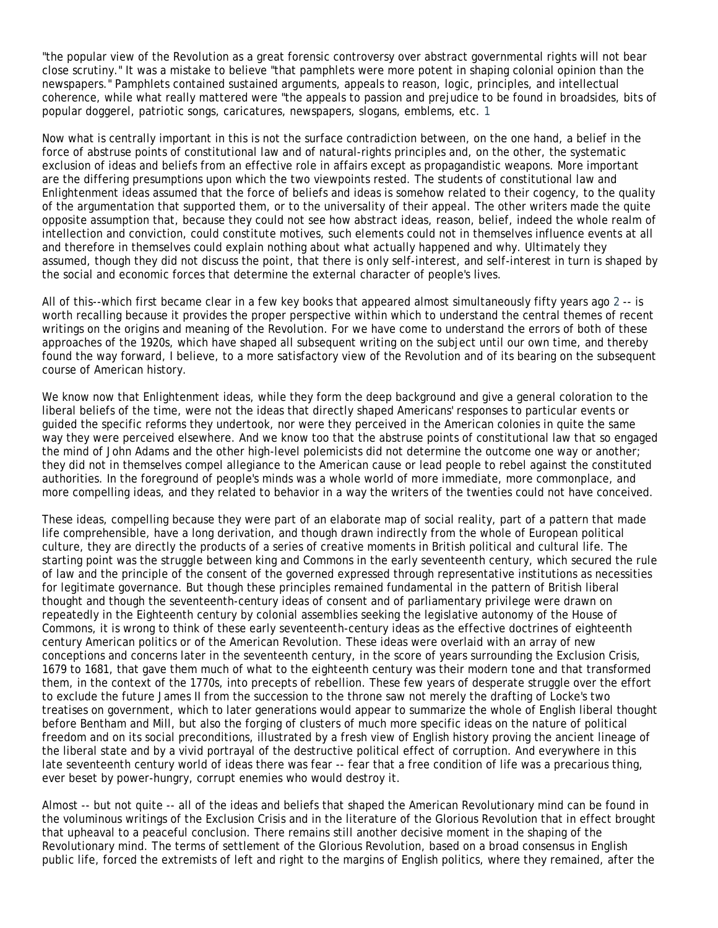"the popular view of the Revolution as a great forensic controversy over abstract governmental rights will not bear close scrutiny." It was a mistake to believe "that pamphlets were more potent in shaping colonial opinion than the newspapers." Pamphlets contained sustained arguments, appeals to reason, logic, principles, and intellectual coherence, while what really mattered were "the appeals to passion and prejudice to be found in broadsides, bits of popular doggerel, patriotic songs, caricatures, newspapers, slogans, emblems, etc. 1

Now what is centrally important in this is not the surface contradiction between, on the one hand, a belief in the force of abstruse points of constitutional law and of natural-rights principles and, on the other, the systematic exclusion of ideas and beliefs from an effective role in affairs except as propagandistic weapons. More important are the differing presumptions upon which the two viewpoints rested. The students of constitutional law and Enlightenment ideas assumed that the force of beliefs and ideas is somehow related to their cogency, to the quality of the argumentation that supported them, or to the universality of their appeal. The other writers made the quite opposite assumption that, because they could not see how abstract ideas, reason, belief, indeed the whole realm of intellection and conviction, could constitute motives, such elements could not in themselves influence events at all and therefore in themselves could explain nothing about what actually happened and why. Ultimately they assumed, though they did not discuss the point, that there is only self-interest, and self-interest in turn is shaped by the social and economic forces that determine the external character of people's lives.

All of this--which first became clear in a few key books that appeared almost simultaneously fifty years ago 2 -- is worth recalling because it provides the proper perspective within which to understand the central themes of recent writings on the origins and meaning of the Revolution. For we have come to understand the errors of both of these approaches of the 1920s, which have shaped all subsequent writing on the subject until our own time, and thereby found the way forward, I believe, to a more satisfactory view of the Revolution and of its bearing on the subsequent course of American history.

We know now that Enlightenment ideas, while they form the deep background and give a general coloration to the liberal beliefs of the time, were not the ideas that directly shaped Americans' responses to particular events or guided the specific reforms they undertook, nor were they perceived in the American colonies in quite the same way they were perceived elsewhere. And we know too that the abstruse points of constitutional law that so engaged the mind of John Adams and the other high-level polemicists did not determine the outcome one way or another; they did not in themselves compel allegiance to the American cause or lead people to rebel against the constituted authorities. In the foreground of people's minds was a whole world of more immediate, more commonplace, and more compelling ideas, and they related to behavior in a way the writers of the twenties could not have conceived.

These ideas, compelling because they were part of an elaborate map of social reality, part of a pattern that made life comprehensible, have a long derivation, and though drawn indirectly from the whole of European political culture, they are directly the products of a series of creative moments in British political and cultural life. The starting point was the struggle between king and Commons in the early seventeenth century, which secured the rule of law and the principle of the consent of the governed expressed through representative institutions as necessities for legitimate governance. But though these principles remained fundamental in the pattern of British liberal thought and though the seventeenth-century ideas of consent and of parliamentary privilege were drawn on repeatedly in the Eighteenth century by colonial assemblies seeking the legislative autonomy of the House of Commons, it is wrong to think of these early seventeenth-century ideas as the effective doctrines of eighteenth century American politics or of the American Revolution. These ideas were overlaid with an array of new conceptions and concerns later in the seventeenth century, in the score of years surrounding the Exclusion Crisis, 1679 to 1681, that gave them much of what to the eighteenth century was their modern tone and that transformed them, in the context of the 1770s, into precepts of rebellion. These few years of desperate struggle over the effort to exclude the future James II from the succession to the throne saw not merely the drafting of Locke's two treatises on government, which to later generations would appear to summarize the whole of English liberal thought before Bentham and Mill, but also the forging of clusters of much more specific ideas on the nature of political freedom and on its social preconditions, illustrated by a fresh view of English history proving the ancient lineage of the liberal state and by a vivid portrayal of the destructive political effect of corruption. And everywhere in this late seventeenth century world of ideas there was fear -- fear that a free condition of life was a precarious thing, ever beset by power-hungry, corrupt enemies who would destroy it.

Almost -- but not quite -- all of the ideas and beliefs that shaped the American Revolutionary mind can be found in the voluminous writings of the Exclusion Crisis and in the literature of the Glorious Revolution that in effect brought that upheaval to a peaceful conclusion. There remains still another decisive moment in the shaping of the Revolutionary mind. The terms of settlement of the Glorious Revolution, based on a broad consensus in English public life, forced the extremists of left and right to the margins of English politics, where they remained, after the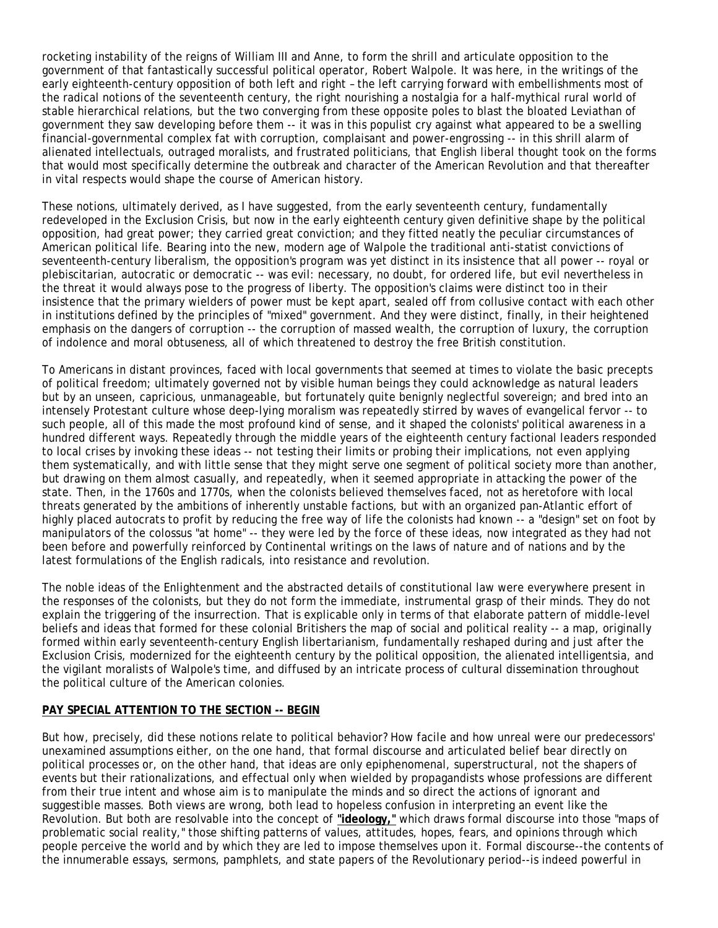rocketing instability of the reigns of William III and Anne, to form the shrill and articulate opposition to the government of that fantastically successful political operator, Robert Walpole. It was here, in the writings of the early eighteenth-century opposition of both left and right – the left carrying forward with embellishments most of the radical notions of the seventeenth century, the right nourishing a nostalgia for a half-mythical rural world of stable hierarchical relations, but the two converging from these opposite poles to blast the bloated Leviathan of government they saw developing before them -- it was in this populist cry against what appeared to be a swelling financial-governmental complex fat with corruption, complaisant and power-engrossing -- in this shrill alarm of alienated intellectuals, outraged moralists, and frustrated politicians, that English liberal thought took on the forms that would most specifically determine the outbreak and character of the American Revolution and that thereafter in vital respects would shape the course of American history.

These notions, ultimately derived, as I have suggested, from the early seventeenth century, fundamentally redeveloped in the Exclusion Crisis, but now in the early eighteenth century given definitive shape by the political opposition, had great power; they carried great conviction; and they fitted neatly the peculiar circumstances of American political life. Bearing into the new, modern age of Walpole the traditional anti-statist convictions of seventeenth-century liberalism, the opposition's program was yet distinct in its insistence that all power -- royal or plebiscitarian, autocratic or democratic -- was evil: necessary, no doubt, for ordered life, but evil nevertheless in the threat it would always pose to the progress of liberty. The opposition's claims were distinct too in their insistence that the primary wielders of power must be kept apart, sealed off from collusive contact with each other in institutions defined by the principles of "mixed" government. And they were distinct, finally, in their heightened emphasis on the dangers of corruption -- the corruption of massed wealth, the corruption of luxury, the corruption of indolence and moral obtuseness, all of which threatened to destroy the free British constitution.

To Americans in distant provinces, faced with local governments that seemed at times to violate the basic precepts of political freedom; ultimately governed not by visible human beings they could acknowledge as natural leaders but by an unseen, capricious, unmanageable, but fortunately quite benignly neglectful sovereign; and bred into an intensely Protestant culture whose deep-lying moralism was repeatedly stirred by waves of evangelical fervor -- to such people, all of this made the most profound kind of sense, and it shaped the colonists' political awareness in a hundred different ways. Repeatedly through the middle years of the eighteenth century factional leaders responded to local crises by invoking these ideas -- not testing their limits or probing their implications, not even applying them systematically, and with little sense that they might serve one segment of political society more than another, but drawing on them almost casually, and repeatedly, when it seemed appropriate in attacking the power of the state. Then, in the 1760s and 1770s, when the colonists believed themselves faced, not as heretofore with local threats generated by the ambitions of inherently unstable factions, but with an organized pan-Atlantic effort of highly placed autocrats to profit by reducing the free way of life the colonists had known -- a "design" set on foot by manipulators of the colossus "at home" -- they were led by the force of these ideas, now integrated as they had not been before and powerfully reinforced by Continental writings on the laws of nature and of nations and by the latest formulations of the English radicals, into resistance and revolution.

The noble ideas of the Enlightenment and the abstracted details of constitutional law were everywhere present in the responses of the colonists, but they do not form the immediate, instrumental grasp of their minds. They do not explain the triggering of the insurrection. That is explicable only in terms of that elaborate pattern of middle-level beliefs and ideas that formed for these colonial Britishers the map of social and political reality -- a map, originally formed within early seventeenth-century English libertarianism, fundamentally reshaped during and just after the Exclusion Crisis, modernized for the eighteenth century by the political opposition, the alienated intelligentsia, and the vigilant moralists of Walpole's time, and diffused by an intricate process of cultural dissemination throughout the political culture of the American colonies.

## **PAY SPECIAL ATTENTION TO THE SECTION -- BEGIN**

But how, precisely, did these notions relate to political behavior? How facile and how unreal were our predecessors' unexamined assumptions either, on the one hand, that formal discourse and articulated belief bear directly on political processes or, on the other hand, that ideas are only epiphenomenal, superstructural, not the shapers of events but their rationalizations, and effectual only when wielded by propagandists whose professions are different from their true intent and whose aim is to manipulate the minds and so direct the actions of ignorant and suggestible masses. Both views are wrong, both lead to hopeless confusion in interpreting an event like the Revolution. But both are resolvable into the concept of **"ideology,"** which draws formal discourse into those "maps of problematic social reality," those shifting patterns of values, attitudes, hopes, fears, and opinions through which people perceive the world and by which they are led to impose themselves upon it. Formal discourse--the contents of the innumerable essays, sermons, pamphlets, and state papers of the Revolutionary period--is indeed powerful in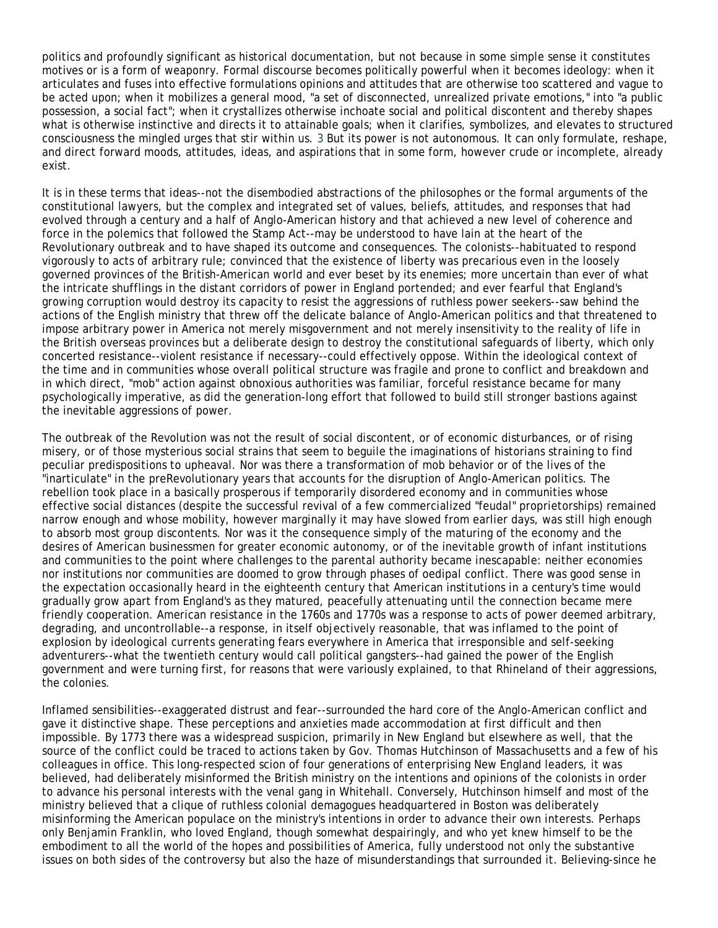politics and profoundly significant as historical documentation, but not because in some simple sense it constitutes motives or is a form of weaponry. Formal discourse becomes politically powerful when it becomes ideology: when it articulates and fuses into effective formulations opinions and attitudes that are otherwise too scattered and vague to be acted upon; when it mobilizes a general mood, "a set of disconnected, unrealized private emotions," into "a public possession, a social fact"; when it crystallizes otherwise inchoate social and political discontent and thereby shapes what is otherwise instinctive and directs it to attainable goals; when it clarifies, symbolizes, and elevates to structured consciousness the mingled urges that stir within us. 3 But its power is not autonomous. It can only formulate, reshape, and direct forward moods, attitudes, ideas, and aspirations that in some form, however crude or incomplete, already exist.

It is in these terms that ideas--not the disembodied abstractions of the philosophes or the formal arguments of the constitutional lawyers, but the complex and integrated set of values, beliefs, attitudes, and responses that had evolved through a century and a half of Anglo-American history and that achieved a new level of coherence and force in the polemics that followed the Stamp Act--may be understood to have lain at the heart of the Revolutionary outbreak and to have shaped its outcome and consequences. The colonists--habituated to respond vigorously to acts of arbitrary rule; convinced that the existence of liberty was precarious even in the loosely governed provinces of the British-American world and ever beset by its enemies; more uncertain than ever of what the intricate shufflings in the distant corridors of power in England portended; and ever fearful that England's growing corruption would destroy its capacity to resist the aggressions of ruthless power seekers--saw behind the actions of the English ministry that threw off the delicate balance of Anglo-American politics and that threatened to impose arbitrary power in America not merely misgovernment and not merely insensitivity to the reality of life in the British overseas provinces but a deliberate design to destroy the constitutional safeguards of liberty, which only concerted resistance--violent resistance if necessary--could effectively oppose. Within the ideological context of the time and in communities whose overall political structure was fragile and prone to conflict and breakdown and in which direct, "mob" action against obnoxious authorities was familiar, forceful resistance became for many psychologically imperative, as did the generation-long effort that followed to build still stronger bastions against the inevitable aggressions of power.

The outbreak of the Revolution was not the result of social discontent, or of economic disturbances, or of rising misery, or of those mysterious social strains that seem to beguile the imaginations of historians straining to find peculiar predispositions to upheaval. Nor was there a transformation of mob behavior or of the lives of the "inarticulate" in the preRevolutionary years that accounts for the disruption of Anglo-American politics. The rebellion took place in a basically prosperous if temporarily disordered economy and in communities whose effective social distances (despite the successful revival of a few commercialized "feudal" proprietorships) remained narrow enough and whose mobility, however marginally it may have slowed from earlier days, was still high enough to absorb most group discontents. Nor was it the consequence simply of the maturing of the economy and the desires of American businessmen for greater economic autonomy, or of the inevitable growth of infant institutions and communities to the point where challenges to the parental authority became inescapable: neither economies nor institutions nor communities are doomed to grow through phases of oedipal conflict. There was good sense in the expectation occasionally heard in the eighteenth century that American institutions in a century's time would gradually grow apart from England's as they matured, peacefully attenuating until the connection became mere friendly cooperation. American resistance in the 1760s and 1770s was a response to acts of power deemed arbitrary, degrading, and uncontrollable--a response, in itself objectively reasonable, that was inflamed to the point of explosion by ideological currents generating fears everywhere in America that irresponsible and self-seeking adventurers--what the twentieth century would call political gangsters--had gained the power of the English government and were turning first, for reasons that were variously explained, to that Rhineland of their aggressions, the colonies.

Inflamed sensibilities--exaggerated distrust and fear--surrounded the hard core of the Anglo-American conflict and gave it distinctive shape. These perceptions and anxieties made accommodation at first difficult and then impossible. By 1773 there was a widespread suspicion, primarily in New England but elsewhere as well, that the source of the conflict could be traced to actions taken by Gov. Thomas Hutchinson of Massachusetts and a few of his colleagues in office. This long-respected scion of four generations of enterprising New England leaders, it was believed, had deliberately misinformed the British ministry on the intentions and opinions of the colonists in order to advance his personal interests with the venal gang in Whitehall. Conversely, Hutchinson himself and most of the ministry believed that a clique of ruthless colonial demagogues headquartered in Boston was deliberately misinforming the American populace on the ministry's intentions in order to advance their own interests. Perhaps only Benjamin Franklin, who loved England, though somewhat despairingly, and who yet knew himself to be the embodiment to all the world of the hopes and possibilities of America, fully understood not only the substantive issues on both sides of the controversy but also the haze of misunderstandings that surrounded it. Believing-since he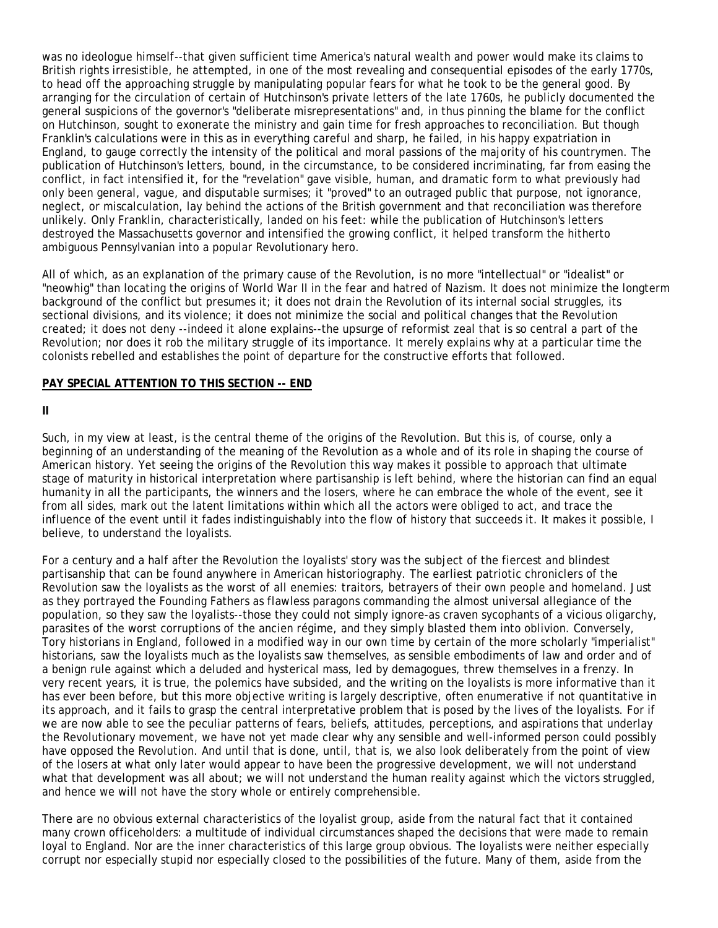was no ideologue himself--that given sufficient time America's natural wealth and power would make its claims to British rights irresistible, he attempted, in one of the most revealing and consequential episodes of the early 1770s, to head off the approaching struggle by manipulating popular fears for what he took to be the general good. By arranging for the circulation of certain of Hutchinson's private letters of the late 1760s, he publicly documented the general suspicions of the governor's "deliberate misrepresentations" and, in thus pinning the blame for the conflict on Hutchinson, sought to exonerate the ministry and gain time for fresh approaches to reconciliation. But though Franklin's calculations were in this as in everything careful and sharp, he failed, in his happy expatriation in England, to gauge correctly the intensity of the political and moral passions of the majority of his countrymen. The publication of Hutchinson's letters, bound, in the circumstance, to be considered incriminating, far from easing the conflict, in fact intensified it, for the "revelation" gave visible, human, and dramatic form to what previously had only been general, vague, and disputable surmises; it "proved" to an outraged public that purpose, not ignorance, neglect, or miscalculation, lay behind the actions of the British government and that reconciliation was therefore unlikely. Only Franklin, characteristically, landed on his feet: while the publication of Hutchinson's letters destroyed the Massachusetts governor and intensified the growing conflict, it helped transform the hitherto ambiguous Pennsylvanian into a popular Revolutionary hero.

All of which, as an explanation of the primary cause of the Revolution, is no more "intellectual" or "idealist" or "neowhig" than locating the origins of World War II in the fear and hatred of Nazism. It does not minimize the longterm background of the conflict but presumes it; it does not drain the Revolution of its internal social struggles, its sectional divisions, and its violence; it does not minimize the social and political changes that the Revolution created; it does not deny --indeed it alone explains--the upsurge of reformist zeal that is so central a part of the Revolution; nor does it rob the military struggle of its importance. It merely explains why at a particular time the colonists rebelled and establishes the point of departure for the constructive efforts that followed.

## **PAY SPECIAL ATTENTION TO THIS SECTION -- END**

### **II**

Such, in my view at least, is the central theme of the origins of the Revolution. But this is, of course, only a beginning of an understanding of the meaning of the Revolution as a whole and of its role in shaping the course of American history. Yet seeing the origins of the Revolution this way makes it possible to approach that ultimate stage of maturity in historical interpretation where partisanship is left behind, where the historian can find an equal humanity in all the participants, the winners and the losers, where he can embrace the whole of the event, see it from all sides, mark out the latent limitations within which all the actors were obliged to act, and trace the influence of the event until it fades indistinguishably into the flow of history that succeeds it. It makes it possible, I believe, to understand the loyalists.

For a century and a half after the Revolution the loyalists' story was the subject of the fiercest and blindest partisanship that can be found anywhere in American historiography. The earliest patriotic chroniclers of the Revolution saw the loyalists as the worst of all enemies: traitors, betrayers of their own people and homeland. Just as they portrayed the Founding Fathers as flawless paragons commanding the almost universal allegiance of the population, so they saw the loyalists--those they could not simply ignore-as craven sycophants of a vicious oligarchy, parasites of the worst corruptions of the ancien régime, and they simply blasted them into oblivion. Conversely, Tory historians in England, followed in a modified way in our own time by certain of the more scholarly "imperialist" historians, saw the loyalists much as the loyalists saw themselves, as sensible embodiments of law and order and of a benign rule against which a deluded and hysterical mass, led by demagogues, threw themselves in a frenzy. In very recent years, it is true, the polemics have subsided, and the writing on the loyalists is more informative than it has ever been before, but this more objective writing is largely descriptive, often enumerative if not quantitative in its approach, and it fails to grasp the central interpretative problem that is posed by the lives of the loyalists. For if we are now able to see the peculiar patterns of fears, beliefs, attitudes, perceptions, and aspirations that underlay the Revolutionary movement, we have not yet made clear why any sensible and well-informed person could possibly have opposed the Revolution. And until that is done, until, that is, we also look deliberately from the point of view of the losers at what only later would appear to have been the progressive development, we will not understand what that development was all about; we will not understand the human reality against which the victors struggled, and hence we will not have the story whole or entirely comprehensible.

There are no obvious external characteristics of the loyalist group, aside from the natural fact that it contained many crown officeholders: a multitude of individual circumstances shaped the decisions that were made to remain loyal to England. Nor are the inner characteristics of this large group obvious. The loyalists were neither especially corrupt nor especially stupid nor especially closed to the possibilities of the future. Many of them, aside from the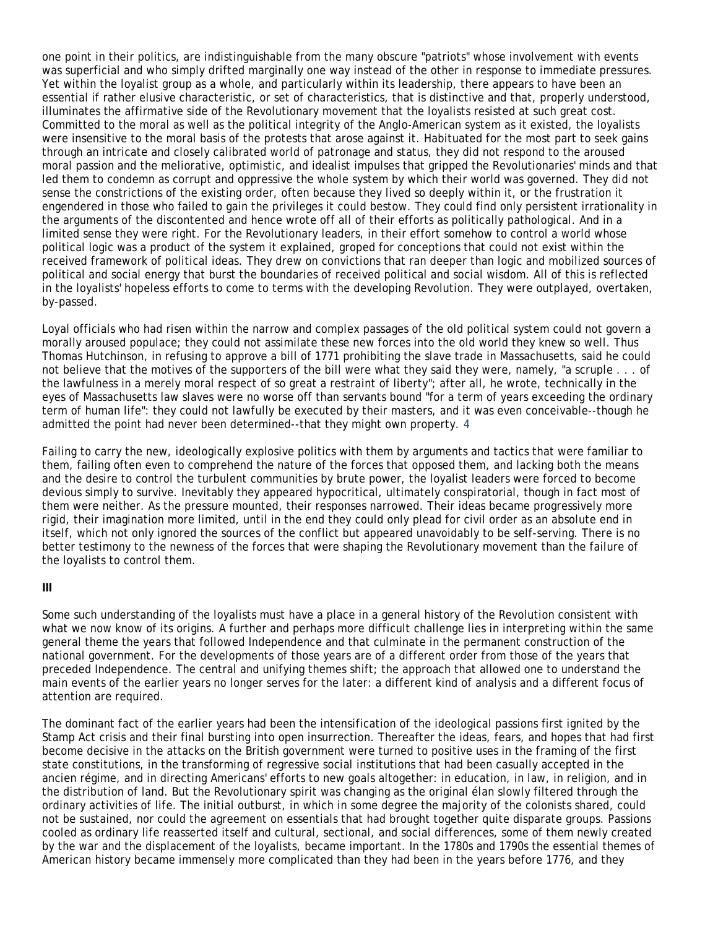one point in their politics, are indistinguishable from the many obscure "patriots" whose involvement with events was superficial and who simply drifted marginally one way instead of the other in response to immediate pressures. Yet within the loyalist group as a whole, and particularly within its leadership, there appears to have been an essential if rather elusive characteristic, or set of characteristics, that is distinctive and that, properly understood, illuminates the affirmative side of the Revolutionary movement that the loyalists resisted at such great cost. Committed to the moral as well as the political integrity of the Anglo-American system as it existed, the loyalists were insensitive to the moral basis of the protests that arose against it. Habituated for the most part to seek gains through an intricate and closely calibrated world of patronage and status, they did not respond to the aroused moral passion and the meliorative, optimistic, and idealist impulses that gripped the Revolutionaries' minds and that led them to condemn as corrupt and oppressive the whole system by which their world was governed. They did not sense the constrictions of the existing order, often because they lived so deeply within it, or the frustration it engendered in those who failed to gain the privileges it could bestow. They could find only persistent irrationality in the arguments of the discontented and hence wrote off all of their efforts as politically pathological. And in a limited sense they were right. For the Revolutionary leaders, in their effort somehow to control a world whose political logic was a product of the system it explained, groped for conceptions that could not exist within the received framework of political ideas. They drew on convictions that ran deeper than logic and mobilized sources of political and social energy that burst the boundaries of received political and social wisdom. All of this is reflected in the loyalists' hopeless efforts to come to terms with the developing Revolution. They were outplayed, overtaken, by-passed.

Loyal officials who had risen within the narrow and complex passages of the old political system could not govern a morally aroused populace; they could not assimilate these new forces into the old world they knew so well. Thus Thomas Hutchinson, in refusing to approve a bill of 1771 prohibiting the slave trade in Massachusetts, said he could not believe that the motives of the supporters of the bill were what they said they were, namely, "a scruple . . . of the lawfulness in a merely moral respect of so great a restraint of liberty"; after all, he wrote, technically in the eyes of Massachusetts law slaves were no worse off than servants bound "for a term of years exceeding the ordinary term of human life": they could not lawfully be executed by their masters, and it was even conceivable--though he admitted the point had never been determined--that they might own property. 4

Failing to carry the new, ideologically explosive politics with them by arguments and tactics that were familiar to them, failing often even to comprehend the nature of the forces that opposed them, and lacking both the means and the desire to control the turbulent communities by brute power, the loyalist leaders were forced to become devious simply to survive. Inevitably they appeared hypocritical, ultimately conspiratorial, though in fact most of them were neither. As the pressure mounted, their responses narrowed. Their ideas became progressively more rigid, their imagination more limited, until in the end they could only plead for civil order as an absolute end in itself, which not only ignored the sources of the conflict but appeared unavoidably to be self-serving. There is no better testimony to the newness of the forces that were shaping the Revolutionary movement than the failure of the loyalists to control them.

### **III**

Some such understanding of the loyalists must have a place in a general history of the Revolution consistent with what we now know of its origins. A further and perhaps more difficult challenge lies in interpreting within the same general theme the years that followed Independence and that culminate in the permanent construction of the national government. For the developments of those years are of a different order from those of the years that preceded Independence. The central and unifying themes shift; the approach that allowed one to understand the main events of the earlier years no longer serves for the later: a different kind of analysis and a different focus of attention are required.

The dominant fact of the earlier years had been the intensification of the ideological passions first ignited by the Stamp Act crisis and their final bursting into open insurrection. Thereafter the ideas, fears, and hopes that had first become decisive in the attacks on the British government were turned to positive uses in the framing of the first state constitutions, in the transforming of regressive social institutions that had been casually accepted in the ancien régime, and in directing Americans' efforts to new goals altogether: in education, in law, in religion, and in the distribution of land. But the Revolutionary spirit was changing as the original élan slowly filtered through the ordinary activities of life. The initial outburst, in which in some degree the majority of the colonists shared, could not be sustained, nor could the agreement on essentials that had brought together quite disparate groups. Passions cooled as ordinary life reasserted itself and cultural, sectional, and social differences, some of them newly created by the war and the displacement of the loyalists, became important. In the 1780s and 1790s the essential themes of American history became immensely more complicated than they had been in the years before 1776, and they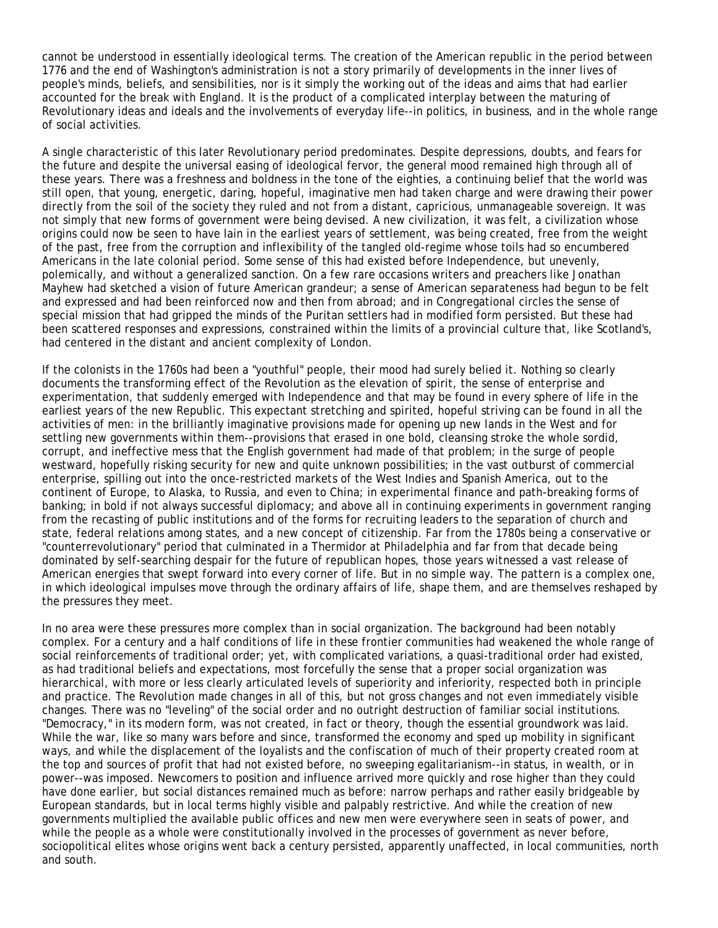cannot be understood in essentially ideological terms. The creation of the American republic in the period between 1776 and the end of Washington's administration is not a story primarily of developments in the inner lives of people's minds, beliefs, and sensibilities, nor is it simply the working out of the ideas and aims that had earlier accounted for the break with England. It is the product of a complicated interplay between the maturing of Revolutionary ideas and ideals and the involvements of everyday life--in politics, in business, and in the whole range of social activities.

A single characteristic of this later Revolutionary period predominates. Despite depressions, doubts, and fears for the future and despite the universal easing of ideological fervor, the general mood remained high through all of these years. There was a freshness and boldness in the tone of the eighties, a continuing belief that the world was still open, that young, energetic, daring, hopeful, imaginative men had taken charge and were drawing their power directly from the soil of the society they ruled and not from a distant, capricious, unmanageable sovereign. It was not simply that new forms of government were being devised. A new civilization, it was felt, a civilization whose origins could now be seen to have lain in the earliest years of settlement, was being created, free from the weight of the past, free from the corruption and inflexibility of the tangled old-regime whose toils had so encumbered Americans in the late colonial period. Some sense of this had existed before Independence, but unevenly, polemically, and without a generalized sanction. On a few rare occasions writers and preachers like Jonathan Mayhew had sketched a vision of future American grandeur; a sense of American separateness had begun to be felt and expressed and had been reinforced now and then from abroad; and in Congregational circles the sense of special mission that had gripped the minds of the Puritan settlers had in modified form persisted. But these had been scattered responses and expressions, constrained within the limits of a provincial culture that, like Scotland's, had centered in the distant and ancient complexity of London.

If the colonists in the 1760s had been a "youthful" people, their mood had surely belied it. Nothing so clearly documents the transforming effect of the Revolution as the elevation of spirit, the sense of enterprise and experimentation, that suddenly emerged with Independence and that may be found in every sphere of life in the earliest years of the new Republic. This expectant stretching and spirited, hopeful striving can be found in all the activities of men: in the brilliantly imaginative provisions made for opening up new lands in the West and for settling new governments within them--provisions that erased in one bold, cleansing stroke the whole sordid, corrupt, and ineffective mess that the English government had made of that problem; in the surge of people westward, hopefully risking security for new and quite unknown possibilities; in the vast outburst of commercial enterprise, spilling out into the once-restricted markets of the West Indies and Spanish America, out to the continent of Europe, to Alaska, to Russia, and even to China; in experimental finance and path-breaking forms of banking; in bold if not always successful diplomacy; and above all in continuing experiments in government ranging from the recasting of public institutions and of the forms for recruiting leaders to the separation of church and state, federal relations among states, and a new concept of citizenship. Far from the 1780s being a conservative or "counterrevolutionary" period that culminated in a Thermidor at Philadelphia and far from that decade being dominated by self-searching despair for the future of republican hopes, those years witnessed a vast release of American energies that swept forward into every corner of life. But in no simple way. The pattern is a complex one, in which ideological impulses move through the ordinary affairs of life, shape them, and are themselves reshaped by the pressures they meet.

In no area were these pressures more complex than in social organization. The background had been notably complex. For a century and a half conditions of life in these frontier communities had weakened the whole range of social reinforcements of traditional order; yet, with complicated variations, a quasi-traditional order had existed, as had traditional beliefs and expectations, most forcefully the sense that a proper social organization was hierarchical, with more or less clearly articulated levels of superiority and inferiority, respected both in principle and practice. The Revolution made changes in all of this, but not gross changes and not even immediately visible changes. There was no "leveling" of the social order and no outright destruction of familiar social institutions. "Democracy," in its modern form, was not created, in fact or theory, though the essential groundwork was laid. While the war, like so many wars before and since, transformed the economy and sped up mobility in significant ways, and while the displacement of the loyalists and the confiscation of much of their property created room at the top and sources of profit that had not existed before, no sweeping egalitarianism--in status, in wealth, or in power--was imposed. Newcomers to position and influence arrived more quickly and rose higher than they could have done earlier, but social distances remained much as before: narrow perhaps and rather easily bridgeable by European standards, but in local terms highly visible and palpably restrictive. And while the creation of new governments multiplied the available public offices and new men were everywhere seen in seats of power, and while the people as a whole were constitutionally involved in the processes of government as never before, sociopolitical elites whose origins went back a century persisted, apparently unaffected, in local communities, north and south.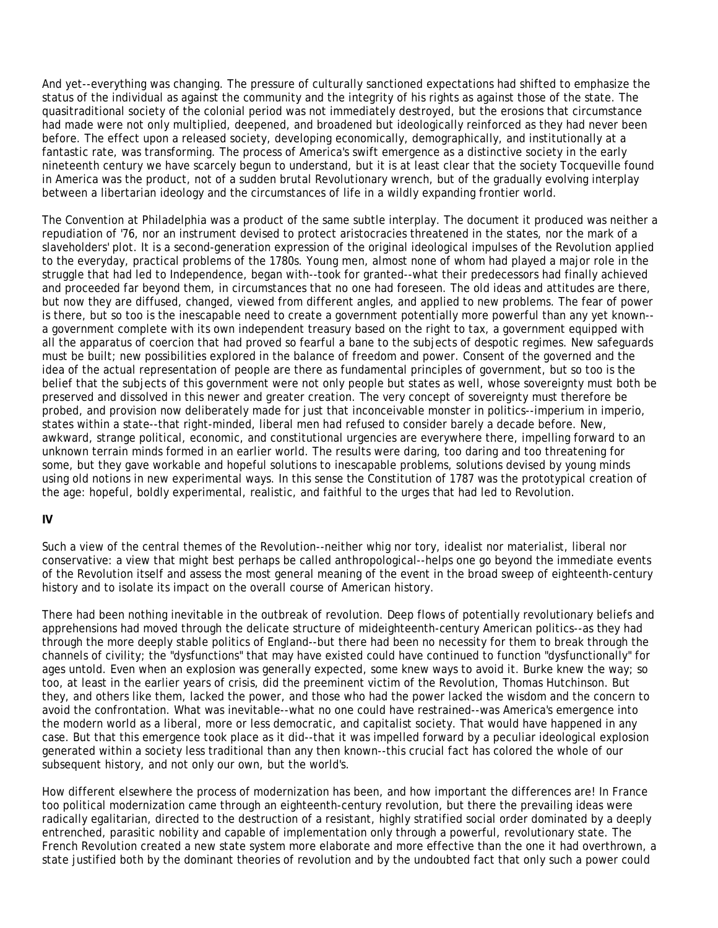And yet--everything was changing. The pressure of culturally sanctioned expectations had shifted to emphasize the status of the individual as against the community and the integrity of his rights as against those of the state. The quasitraditional society of the colonial period was not immediately destroyed, but the erosions that circumstance had made were not only multiplied, deepened, and broadened but ideologically reinforced as they had never been before. The effect upon a released society, developing economically, demographically, and institutionally at a fantastic rate, was transforming. The process of America's swift emergence as a distinctive society in the early nineteenth century we have scarcely begun to understand, but it is at least clear that the society Tocqueville found in America was the product, not of a sudden brutal Revolutionary wrench, but of the gradually evolving interplay between a libertarian ideology and the circumstances of life in a wildly expanding frontier world.

The Convention at Philadelphia was a product of the same subtle interplay. The document it produced was neither a repudiation of '76, nor an instrument devised to protect aristocracies threatened in the states, nor the mark of a slaveholders' plot. It is a second-generation expression of the original ideological impulses of the Revolution applied to the everyday, practical problems of the 1780s. Young men, almost none of whom had played a major role in the struggle that had led to Independence, began with--took for granted--what their predecessors had finally achieved and proceeded far beyond them, in circumstances that no one had foreseen. The old ideas and attitudes are there, but now they are diffused, changed, viewed from different angles, and applied to new problems. The fear of power is there, but so too is the inescapable need to create a government potentially more powerful than any yet known- a government complete with its own independent treasury based on the right to tax, a government equipped with all the apparatus of coercion that had proved so fearful a bane to the subjects of despotic regimes. New safeguards must be built; new possibilities explored in the balance of freedom and power. Consent of the governed and the idea of the actual representation of people are there as fundamental principles of government, but so too is the belief that the subjects of this government were not only people but states as well, whose sovereignty must both be preserved and dissolved in this newer and greater creation. The very concept of sovereignty must therefore be probed, and provision now deliberately made for just that inconceivable monster in politics--imperium in imperio, states within a state--that right-minded, liberal men had refused to consider barely a decade before. New, awkward, strange political, economic, and constitutional urgencies are everywhere there, impelling forward to an unknown terrain minds formed in an earlier world. The results were daring, too daring and too threatening for some, but they gave workable and hopeful solutions to inescapable problems, solutions devised by young minds using old notions in new experimental ways. In this sense the Constitution of 1787 was the prototypical creation of the age: hopeful, boldly experimental, realistic, and faithful to the urges that had led to Revolution.

## **IV**

Such a view of the central themes of the Revolution--neither whig nor tory, idealist nor materialist, liberal nor conservative: a view that might best perhaps be called anthropological--helps one go beyond the immediate events of the Revolution itself and assess the most general meaning of the event in the broad sweep of eighteenth-century history and to isolate its impact on the overall course of American history.

There had been nothing inevitable in the outbreak of revolution. Deep flows of potentially revolutionary beliefs and apprehensions had moved through the delicate structure of mideighteenth-century American politics--as they had through the more deeply stable politics of England--but there had been no necessity for them to break through the channels of civility; the "dysfunctions" that may have existed could have continued to function "dysfunctionally" for ages untold. Even when an explosion was generally expected, some knew ways to avoid it. Burke knew the way; so too, at least in the earlier years of crisis, did the preeminent victim of the Revolution, Thomas Hutchinson. But they, and others like them, lacked the power, and those who had the power lacked the wisdom and the concern to avoid the confrontation. What was inevitable--what no one could have restrained--was America's emergence into the modern world as a liberal, more or less democratic, and capitalist society. That would have happened in any case. But that this emergence took place as it did--that it was impelled forward by a peculiar ideological explosion generated within a society less traditional than any then known--this crucial fact has colored the whole of our subsequent history, and not only our own, but the world's.

How different elsewhere the process of modernization has been, and how important the differences are! In France too political modernization came through an eighteenth-century revolution, but there the prevailing ideas were radically egalitarian, directed to the destruction of a resistant, highly stratified social order dominated by a deeply entrenched, parasitic nobility and capable of implementation only through a powerful, revolutionary state. The French Revolution created a new state system more elaborate and more effective than the one it had overthrown, a state justified both by the dominant theories of revolution and by the undoubted fact that only such a power could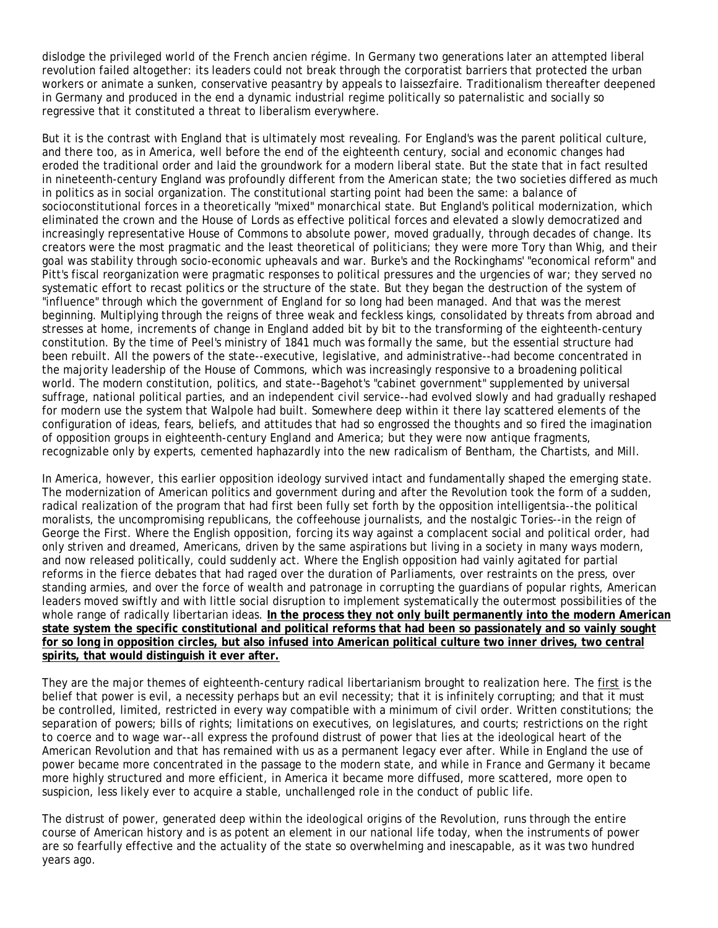dislodge the privileged world of the French ancien régime. In Germany two generations later an attempted liberal revolution failed altogether: its leaders could not break through the corporatist barriers that protected the urban workers or animate a sunken, conservative peasantry by appeals to laissezfaire. Traditionalism thereafter deepened in Germany and produced in the end a dynamic industrial regime politically so paternalistic and socially so regressive that it constituted a threat to liberalism everywhere.

But it is the contrast with England that is ultimately most revealing. For England's was the parent political culture, and there too, as in America, well before the end of the eighteenth century, social and economic changes had eroded the traditional order and laid the groundwork for a modern liberal state. But the state that in fact resulted in nineteenth-century England was profoundly different from the American state; the two societies differed as much in politics as in social organization. The constitutional starting point had been the same: a balance of socioconstitutional forces in a theoretically "mixed" monarchical state. But England's political modernization, which eliminated the crown and the House of Lords as effective political forces and elevated a slowly democratized and increasingly representative House of Commons to absolute power, moved gradually, through decades of change. Its creators were the most pragmatic and the least theoretical of politicians; they were more Tory than Whig, and their goal was stability through socio-economic upheavals and war. Burke's and the Rockinghams' "economical reform" and Pitt's fiscal reorganization were pragmatic responses to political pressures and the urgencies of war; they served no systematic effort to recast politics or the structure of the state. But they began the destruction of the system of "influence" through which the government of England for so long had been managed. And that was the merest beginning. Multiplying through the reigns of three weak and feckless kings, consolidated by threats from abroad and stresses at home, increments of change in England added bit by bit to the transforming of the eighteenth-century constitution. By the time of Peel's ministry of 1841 much was formally the same, but the essential structure had been rebuilt. All the powers of the state--executive, legislative, and administrative--had become concentrated in the majority leadership of the House of Commons, which was increasingly responsive to a broadening political world. The modern constitution, politics, and state--Bagehot's "cabinet government" supplemented by universal suffrage, national political parties, and an independent civil service--had evolved slowly and had gradually reshaped for modern use the system that Walpole had built. Somewhere deep within it there lay scattered elements of the configuration of ideas, fears, beliefs, and attitudes that had so engrossed the thoughts and so fired the imagination of opposition groups in eighteenth-century England and America; but they were now antique fragments, recognizable only by experts, cemented haphazardly into the new radicalism of Bentham, the Chartists, and Mill.

In America, however, this earlier opposition ideology survived intact and fundamentally shaped the emerging state. The modernization of American politics and government during and after the Revolution took the form of a sudden, radical realization of the program that had first been fully set forth by the opposition intelligentsia--the political moralists, the uncompromising republicans, the coffeehouse journalists, and the nostalgic Tories--in the reign of George the First. Where the English opposition, forcing its way against a complacent social and political order, had only striven and dreamed, Americans, driven by the same aspirations but living in a society in many ways modern, and now released politically, could suddenly act. Where the English opposition had vainly agitated for partial reforms in the fierce debates that had raged over the duration of Parliaments, over restraints on the press, over standing armies, and over the force of wealth and patronage in corrupting the guardians of popular rights, American leaders moved swiftly and with little social disruption to implement systematically the outermost possibilities of the whole range of radically libertarian ideas. **In the process they not only built permanently into the modern American state system the specific constitutional and political reforms that had been so passionately and so vainly sought for so long in opposition circles, but also infused into American political culture two inner drives, two central spirits, that would distinguish it ever after.**

They are the major themes of eighteenth-century radical libertarianism brought to realization here. The first is the belief that power is evil, a necessity perhaps but an evil necessity; that it is infinitely corrupting; and that it must be controlled, limited, restricted in every way compatible with a minimum of civil order. Written constitutions; the separation of powers; bills of rights; limitations on executives, on legislatures, and courts; restrictions on the right to coerce and to wage war--all express the profound distrust of power that lies at the ideological heart of the American Revolution and that has remained with us as a permanent legacy ever after. While in England the use of power became more concentrated in the passage to the modern state, and while in France and Germany it became more highly structured and more efficient, in America it became more diffused, more scattered, more open to suspicion, less likely ever to acquire a stable, unchallenged role in the conduct of public life.

The distrust of power, generated deep within the ideological origins of the Revolution, runs through the entire course of American history and is as potent an element in our national life today, when the instruments of power are so fearfully effective and the actuality of the state so overwhelming and inescapable, as it was two hundred years ago.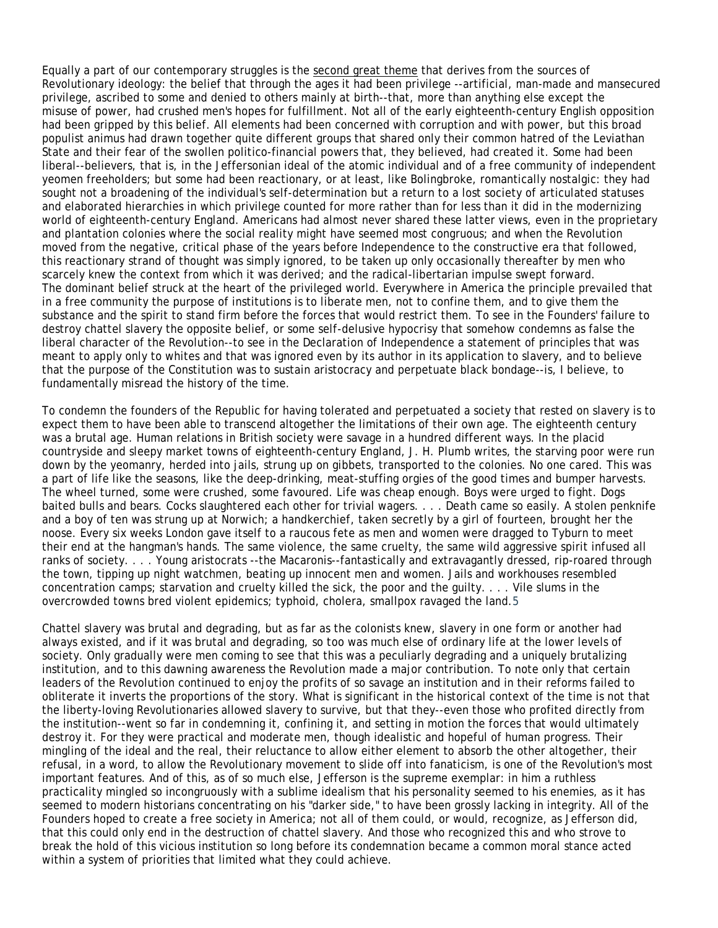Equally a part of our contemporary struggles is the second great theme that derives from the sources of Revolutionary ideology: the belief that through the ages it had been privilege --artificial, man-made and mansecured privilege, ascribed to some and denied to others mainly at birth--that, more than anything else except the misuse of power, had crushed men's hopes for fulfillment. Not all of the early eighteenth-century English opposition had been gripped by this belief. All elements had been concerned with corruption and with power, but this broad populist animus had drawn together quite different groups that shared only their common hatred of the Leviathan State and their fear of the swollen politico-financial powers that, they believed, had created it. Some had been liberal--believers, that is, in the Jeffersonian ideal of the atomic individual and of a free community of independent yeomen freeholders; but some had been reactionary, or at least, like Bolingbroke, romantically nostalgic: they had sought not a broadening of the individual's self-determination but a return to a lost society of articulated statuses and elaborated hierarchies in which privilege counted for more rather than for less than it did in the modernizing world of eighteenth-century England. Americans had almost never shared these latter views, even in the proprietary and plantation colonies where the social reality might have seemed most congruous; and when the Revolution moved from the negative, critical phase of the years before Independence to the constructive era that followed, this reactionary strand of thought was simply ignored, to be taken up only occasionally thereafter by men who scarcely knew the context from which it was derived; and the radical-libertarian impulse swept forward. The dominant belief struck at the heart of the privileged world. Everywhere in America the principle prevailed that in a free community the purpose of institutions is to liberate men, not to confine them, and to give them the substance and the spirit to stand firm before the forces that would restrict them. To see in the Founders' failure to destroy chattel slavery the opposite belief, or some self-delusive hypocrisy that somehow condemns as false the liberal character of the Revolution--to see in the Declaration of Independence a statement of principles that was meant to apply only to whites and that was ignored even by its author in its application to slavery, and to believe that the purpose of the Constitution was to sustain aristocracy and perpetuate black bondage--is, I believe, to fundamentally misread the history of the time.

To condemn the founders of the Republic for having tolerated and perpetuated a society that rested on slavery is to expect them to have been able to transcend altogether the limitations of their own age. The eighteenth century was a brutal age. Human relations in British society were savage in a hundred different ways. In the placid countryside and sleepy market towns of eighteenth-century England, J. H. Plumb writes, the starving poor were run down by the yeomanry, herded into jails, strung up on gibbets, transported to the colonies. No one cared. This was a part of life like the seasons, like the deep-drinking, meat-stuffing orgies of the good times and bumper harvests. The wheel turned, some were crushed, some favoured. Life was cheap enough. Boys were urged to fight. Dogs baited bulls and bears. Cocks slaughtered each other for trivial wagers. . . . Death came so easily. A stolen penknife and a boy of ten was strung up at Norwich; a handkerchief, taken secretly by a girl of fourteen, brought her the noose. Every six weeks London gave itself to a raucous fete as men and women were dragged to Tyburn to meet their end at the hangman's hands. The same violence, the same cruelty, the same wild aggressive spirit infused all ranks of society. . . . Young aristocrats --the Macaronis--fantastically and extravagantly dressed, rip-roared through the town, tipping up night watchmen, beating up innocent men and women. Jails and workhouses resembled concentration camps; starvation and cruelty killed the sick, the poor and the guilty. . . . Vile slums in the overcrowded towns bred violent epidemics; typhoid, cholera, smallpox ravaged the land.5

Chattel slavery was brutal and degrading, but as far as the colonists knew, slavery in one form or another had always existed, and if it was brutal and degrading, so too was much else of ordinary life at the lower levels of society. Only gradually were men coming to see that this was a peculiarly degrading and a uniquely brutalizing institution, and to this dawning awareness the Revolution made a major contribution. To note only that certain leaders of the Revolution continued to enjoy the profits of so savage an institution and in their reforms failed to obliterate it inverts the proportions of the story. What is significant in the historical context of the time is not that the liberty-loving Revolutionaries allowed slavery to survive, but that they--even those who profited directly from the institution--went so far in condemning it, confining it, and setting in motion the forces that would ultimately destroy it. For they were practical and moderate men, though idealistic and hopeful of human progress. Their mingling of the ideal and the real, their reluctance to allow either element to absorb the other altogether, their refusal, in a word, to allow the Revolutionary movement to slide off into fanaticism, is one of the Revolution's most important features. And of this, as of so much else, Jefferson is the supreme exemplar: in him a ruthless practicality mingled so incongruously with a sublime idealism that his personality seemed to his enemies, as it has seemed to modern historians concentrating on his "darker side," to have been grossly lacking in integrity. All of the Founders hoped to create a free society in America; not all of them could, or would, recognize, as Jefferson did, that this could only end in the destruction of chattel slavery. And those who recognized this and who strove to break the hold of this vicious institution so long before its condemnation became a common moral stance acted within a system of priorities that limited what they could achieve.